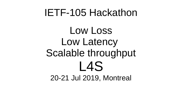#### IETF-105 Hackathon

Low Loss Low Latency Scalable throughput L4S 20-21 Jul 2019, Montreal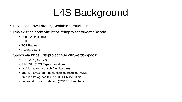# L4S Background

- Low Loss Low Latency Scalable throughput
- Pre-existing code via: https://riteproject.eu/dctth/#code
	- DualPI2 Linux qdisc
	- DCTCP
	- TCP Prague
	- Accurate FCN
- Specs via https://riteproject.eu/dctth/#stds-specs:
	- $\cdot$  RFC8257 (DCTCP)
	- RFC8311 (ECN Experimentation)
	- draft-ietf-tsvwg-l4s-arch (architecture)
	- draft-ietf-tsvwg-aqm-dualq-coupled (coupled AQMs)
	- draft-ietf-tsvwg-ecn-l4s-id (L4S-ECN identifier)
	- draft-ietf-tcpm-accurate-ecn (TCP ECN feedback)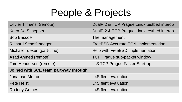### People & Projects

| <b>Olivier Tilmans (remote)</b>       | DualPI2 & TCP Prague Linux testbed interop |
|---------------------------------------|--------------------------------------------|
| Koen De Schepper                      | DualPI2 & TCP Prague Linux testbed interop |
| <b>Bob Briscoe</b>                    | The management                             |
| <b>Richard Scheffenegger</b>          | <b>FreeBSD Accurate ECN implementation</b> |
| Michael Tuexen (part-time)            | Help with FreeBSD implementation           |
| Asad Ahmed (remote)                   | TCP Prague sub-packet window               |
| Tom Henderson (remote)                | ns3 TCP Prague Faster Start-up             |
| Joined with SCE team part-way through |                                            |
| Jonathan Morton                       | <b>L4S</b> flent evaluation                |
| <b>Pete Heist</b>                     | <b>L4S</b> flent evaluation                |
| <b>Rodney Grimes</b>                  | <b>L4S</b> flent evaluation                |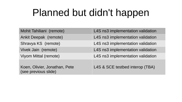# Planned but didn't happen

| Mohit Tahiliani (remote)                              | L4S ns3 implementation validation |
|-------------------------------------------------------|-----------------------------------|
| Ankit Deepak (remote)                                 | L4S ns3 implementation validation |
| Shravya KS (remote)                                   | L4S ns3 implementation validation |
| Vivek Jain (remote)                                   | L4S ns3 implementation validation |
| Viyom Mittal (remote)                                 | L4S ns3 implementation validation |
| Koen, Olivier, Jonathan, Pete<br>(see previous slide) | L4S & SCE testbed interop (TBA)   |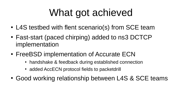# What got achieved

- L4S testbed with flent scenario(s) from SCE team
- Fast-start (paced chirping) added to ns3 DCTCP implementation
- FreeBSD implementation of Accurate ECN
	- handshake & feedback during established connection
	- added AccECN protocol fields to packetdrill
- Good working relationship between L4S & SCE teams